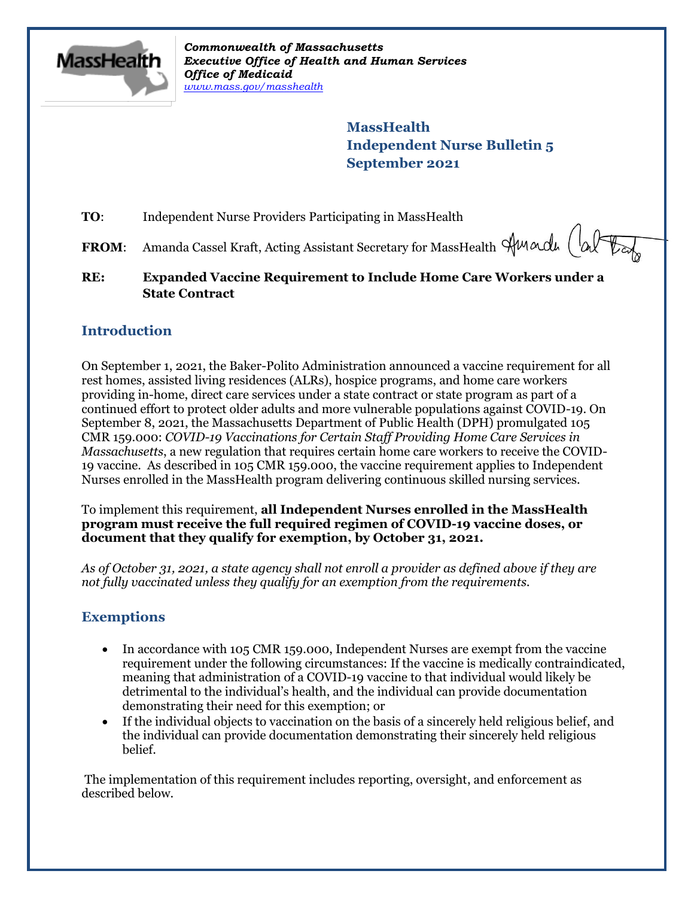

*Commonwealth of Massachusetts Executive Office of Health and Human Services Office of Medicaid [www.mass.gov/masshealth](http://www.mass.gov/masshealth)*

> **MassHealth Independent Nurse Bulletin 5 September 2021**

**TO:** Independent Nurse Providers Participating in MassHealth

FROM: Amanda Cassel Kraft, Acting Assistant Secretary for MassHealth Sunadu (although

**RE: Expanded Vaccine Requirement to Include Home Care Workers under a State Contract**

## **Introduction**

On September 1, 2021, the Baker-Polito Administration announced a vaccine requirement for all rest homes, assisted living residences (ALRs), hospice programs, and home care workers providing in-home, direct care services under a state contract or state program as part of a continued effort to protect older adults and more vulnerable populations against COVID-19. On September 8, 2021, the Massachusetts Department of Public Health (DPH) promulgated 105 CMR 159.000: *COVID-19 Vaccinations for Certain Staff Providing Home Care Services in Massachusetts*, a new regulation that requires certain home care workers to receive the COVID-19 vaccine. As described in 105 CMR 159.000, the vaccine requirement applies to Independent Nurses enrolled in the MassHealth program delivering continuous skilled nursing services.

To implement this requirement, **all Independent Nurses enrolled in the MassHealth program must receive the full required regimen of COVID-19 vaccine doses, or document that they qualify for exemption, by October 31, 2021.** 

*As of October 31, 2021, a state agency shall not enroll a provider as defined above if they are not fully vaccinated unless they qualify for an exemption from the requirements.*

# **Exemptions**

- In accordance with 105 CMR 159.000, Independent Nurses are exempt from the vaccine requirement under the following circumstances: If the vaccine is medically contraindicated, meaning that administration of a COVID-19 vaccine to that individual would likely be detrimental to the individual's health, and the individual can provide documentation demonstrating their need for this exemption; or
- If the individual objects to vaccination on the basis of a sincerely held religious belief, and the individual can provide documentation demonstrating their sincerely held religious belief.

The implementation of this requirement includes reporting, oversight, and enforcement as described below.